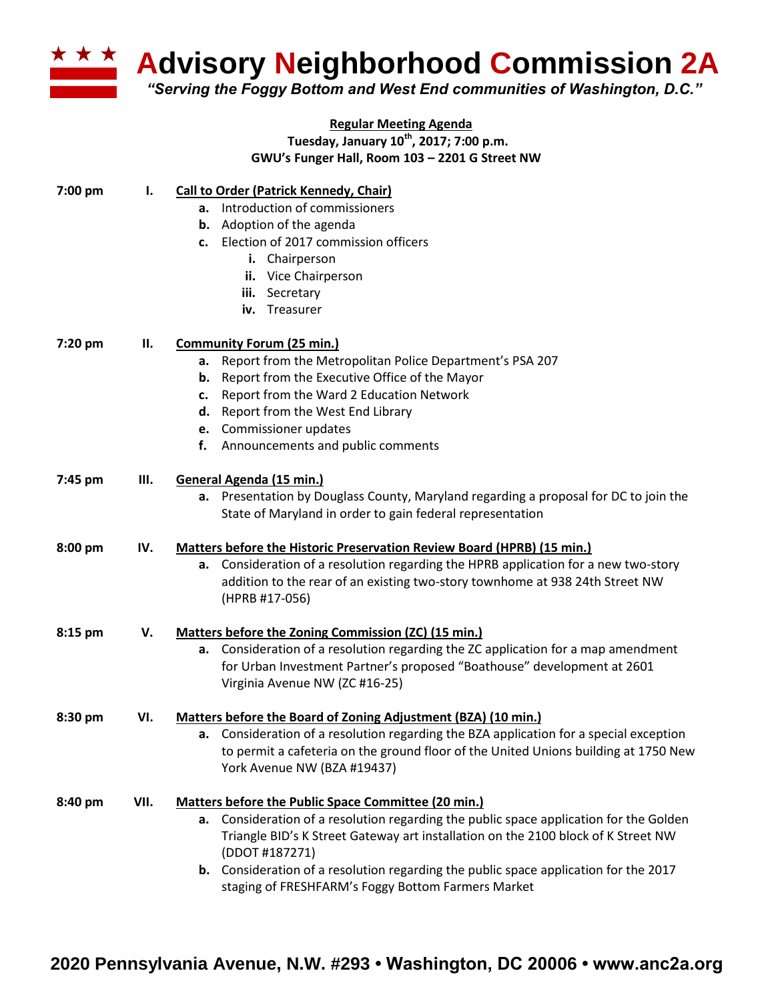

**Advisory Neighborhood Commission 2A** 

*"Serving the Foggy Bottom and West End communities of Washington, D.C."*

## **Regular Meeting Agenda Tuesday, January 10th , 2017; 7:00 p.m. GWU's Funger Hall, Room 103 – 2201 G Street NW**

| 7:00 pm | Ι.   | <b>Call to Order (Patrick Kennedy, Chair)</b><br>a. Introduction of commissioners<br><b>b.</b> Adoption of the agenda<br>c. Election of 2017 commission officers<br>i. Chairperson<br>ii. Vice Chairperson<br>Secretary<br>iii.<br>iv. Treasurer                   |
|---------|------|--------------------------------------------------------------------------------------------------------------------------------------------------------------------------------------------------------------------------------------------------------------------|
| 7:20 pm | П.   | <b>Community Forum (25 min.)</b>                                                                                                                                                                                                                                   |
|         |      | a. Report from the Metropolitan Police Department's PSA 207                                                                                                                                                                                                        |
|         |      | <b>b.</b> Report from the Executive Office of the Mayor                                                                                                                                                                                                            |
|         |      | Report from the Ward 2 Education Network<br>c.                                                                                                                                                                                                                     |
|         |      | d. Report from the West End Library                                                                                                                                                                                                                                |
|         |      | e. Commissioner updates                                                                                                                                                                                                                                            |
|         |      | f. Announcements and public comments                                                                                                                                                                                                                               |
| 7:45 pm | Ш.   | General Agenda (15 min.)                                                                                                                                                                                                                                           |
|         |      | Presentation by Douglass County, Maryland regarding a proposal for DC to join the<br>а.                                                                                                                                                                            |
|         |      | State of Maryland in order to gain federal representation                                                                                                                                                                                                          |
| 8:00 pm | IV.  | Matters before the Historic Preservation Review Board (HPRB) (15 min.)<br>Consideration of a resolution regarding the HPRB application for a new two-story<br>а.<br>addition to the rear of an existing two-story townhome at 938 24th Street NW<br>(HPRB #17-056) |
| 8:15 pm | V.   | Matters before the Zoning Commission (ZC) (15 min.)                                                                                                                                                                                                                |
|         |      | a. Consideration of a resolution regarding the ZC application for a map amendment<br>for Urban Investment Partner's proposed "Boathouse" development at 2601<br>Virginia Avenue NW (ZC #16-25)                                                                     |
| 8:30 pm | VI.  | Matters before the Board of Zoning Adjustment (BZA) (10 min.)                                                                                                                                                                                                      |
|         |      | Consideration of a resolution regarding the BZA application for a special exception<br>а.<br>to permit a cafeteria on the ground floor of the United Unions building at 1750 New<br>York Avenue NW (BZA #19437)                                                    |
| 8:40 pm | VII. | Matters before the Public Space Committee (20 min.)                                                                                                                                                                                                                |
|         |      | a. Consideration of a resolution regarding the public space application for the Golden<br>Triangle BID's K Street Gateway art installation on the 2100 block of K Street NW<br>(DDOT #187271)                                                                      |
|         |      | <b>b.</b> Consideration of a resolution regarding the public space application for the 2017<br>staging of FRESHFARM's Foggy Bottom Farmers Market                                                                                                                  |